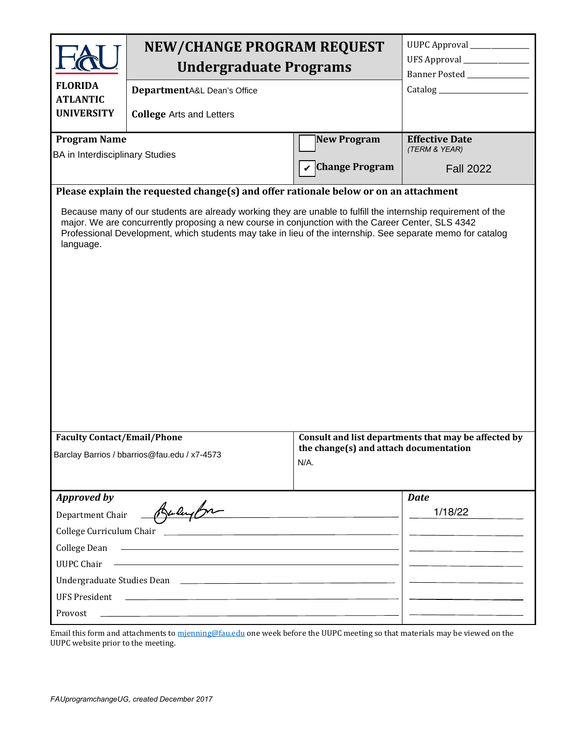| <b>FLORIDA</b><br><b>ATLANTIC</b>                                                                                                                                                                                                                                                                                                                                                                                                     | <b>NEW/CHANGE PROGRAM REQUEST</b><br><b>Undergraduate Programs</b><br>DepartmentA&L Dean's Office                                                                                                                                                                                                                        |                                             | UUPC Approval ______________<br>UFS Approval ________________<br>Banner Posted ______________  |  |
|---------------------------------------------------------------------------------------------------------------------------------------------------------------------------------------------------------------------------------------------------------------------------------------------------------------------------------------------------------------------------------------------------------------------------------------|--------------------------------------------------------------------------------------------------------------------------------------------------------------------------------------------------------------------------------------------------------------------------------------------------------------------------|---------------------------------------------|------------------------------------------------------------------------------------------------|--|
| <b>UNIVERSITY</b>                                                                                                                                                                                                                                                                                                                                                                                                                     | <b>College Arts and Letters</b>                                                                                                                                                                                                                                                                                          |                                             |                                                                                                |  |
| <b>Program Name</b><br><b>BA</b> in Interdisciplinary Studies                                                                                                                                                                                                                                                                                                                                                                         |                                                                                                                                                                                                                                                                                                                          | <b>New Program</b><br><b>Change Program</b> | <b>Effective Date</b><br>(TERM & YEAR)<br><b>Fall 2022</b>                                     |  |
| Please explain the requested change(s) and offer rationale below or on an attachment<br>Because many of our students are already working they are unable to fulfill the internship requirement of the<br>major. We are concurrently proposing a new course in conjunction with the Career Center, SLS 4342<br>Professional Development, which students may take in lieu of the internship. See separate memo for catalog<br>language. |                                                                                                                                                                                                                                                                                                                          |                                             |                                                                                                |  |
| <b>Faculty Contact/Email/Phone</b><br>Barclay Barrios / bbarrios@fau.edu / x7-4573<br>N/A.                                                                                                                                                                                                                                                                                                                                            |                                                                                                                                                                                                                                                                                                                          |                                             | Consult and list departments that may be affected by<br>the change(s) and attach documentation |  |
| <b>Approved by</b><br>Department Chair<br>College Dean<br><b>UUPC Chair</b><br><b>UFS President</b><br>Provost                                                                                                                                                                                                                                                                                                                        | Bulupon<br><u> 1980 - Johann Barn, fransk politik formuler (d. 1980)</u><br><u> 1980 - Johann Barn, fransk politik (d. 1980)</u><br><u> 1999 - Johann Stoff, deutscher Stoff, der Stoff, der Stoff, der Stoff, der Stoff, der Stoff, der Stoff, der S</u><br><u> 1989 - Johann Stoff, amerikansk politiker (d. 1989)</u> |                                             | <b>Date</b><br>1/18/22                                                                         |  |

Email this form and attachments to [mjenning@fau.edu](mailto:mjenning@fau.edu) one week before the UUPC meeting so that materials may be viewed on the UUPC website prior to the meeting.